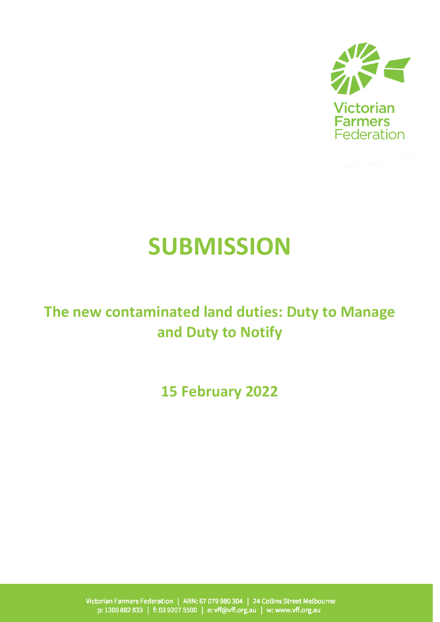

# **SUBMISSION**

## **The new contaminated land duties: Duty to Manage and Duty to Notify**

**15 February 2022**

Victorian Farmers Federation | ABN: 67 079 980 304 | 24 Collins Street Melbourne<br>p: 1300 882 833 | f: 03 9207 5500 | e: vff@vff.org.au | w: www.vff.org.au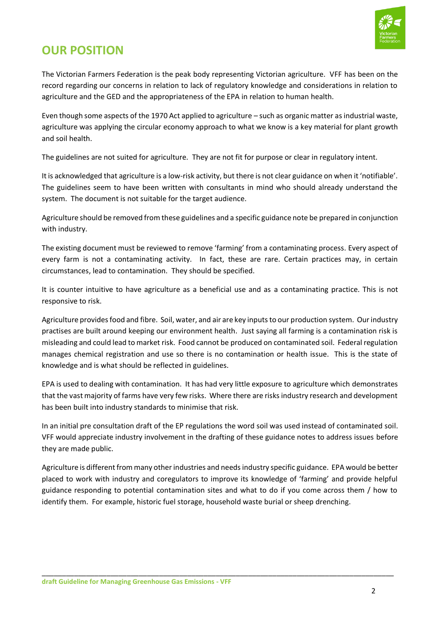

### **OUR POSITION**

The Victorian Farmers Federation is the peak body representing Victorian agriculture. VFF has been on the record regarding our concerns in relation to lack of regulatory knowledge and considerations in relation to agriculture and the GED and the appropriateness of the EPA in relation to human health.

Even though some aspects of the 1970 Act applied to agriculture – such as organic matter as industrial waste, agriculture was applying the circular economy approach to what we know is a key material for plant growth and soil health.

The guidelines are not suited for agriculture. They are not fit for purpose or clear in regulatory intent.

It is acknowledged that agriculture is a low-risk activity, but there is not clear guidance on when it 'notifiable'. The guidelines seem to have been written with consultants in mind who should already understand the system. The document is not suitable for the target audience.

Agriculture should be removed from these guidelines and a specific guidance note be prepared in conjunction with industry.

The existing document must be reviewed to remove 'farming' from a contaminating process. Every aspect of every farm is not a contaminating activity. In fact, these are rare. Certain practices may, in certain circumstances, lead to contamination. They should be specified.

It is counter intuitive to have agriculture as a beneficial use and as a contaminating practice. This is not responsive to risk.

Agriculture provides food and fibre. Soil, water, and air are key inputs to our production system. Our industry practises are built around keeping our environment health. Just saying all farming is a contamination risk is misleading and could lead to market risk. Food cannot be produced on contaminated soil. Federal regulation manages chemical registration and use so there is no contamination or health issue. This is the state of knowledge and is what should be reflected in guidelines.

EPA is used to dealing with contamination. It has had very little exposure to agriculture which demonstrates that the vast majority of farms have very few risks. Where there are risks industry research and development has been built into industry standards to minimise that risk.

In an initial pre consultation draft of the EP regulations the word soil was used instead of contaminated soil. VFF would appreciate industry involvement in the drafting of these guidance notes to address issues before they are made public.

Agriculture is different from many other industries and needs industry specific guidance. EPA would be better placed to work with industry and coregulators to improve its knowledge of 'farming' and provide helpful guidance responding to potential contamination sites and what to do if you come across them / how to identify them. For example, historic fuel storage, household waste burial or sheep drenching.

\_\_\_\_\_\_\_\_\_\_\_\_\_\_\_\_\_\_\_\_\_\_\_\_\_\_\_\_\_\_\_\_\_\_\_\_\_\_\_\_\_\_\_\_\_\_\_\_\_\_\_\_\_\_\_\_\_\_\_\_\_\_\_\_\_\_\_\_\_\_\_\_\_\_\_\_\_\_\_\_\_\_\_\_\_\_\_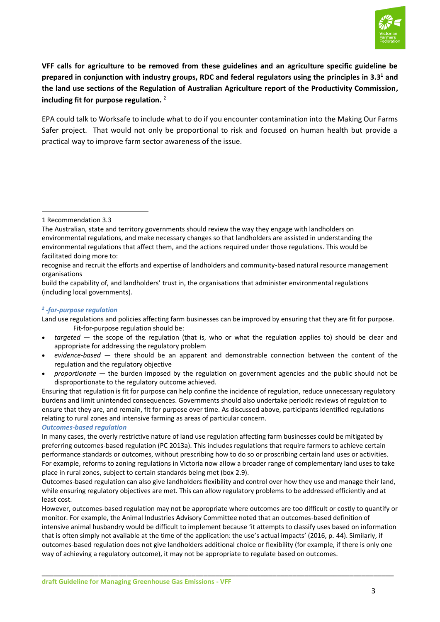

**VFF calls for agriculture to be removed from these guidelines and an agriculture specific guideline be prepared in conjunction with industry groups, RDC and federal regulators using the principles in 3.3<sup>1</sup> and the land use sections of the Regulation of Australian Agriculture report of the Productivity Commission, including fit for purpose regulation.** <sup>2</sup>

EPA could talk to Worksafe to include what to do if you encounter contamination into the Making Our Farms Safer project. That would not only be proportional to risk and focused on human health but provide a practical way to improve farm sector awareness of the issue.

1 Recommendation 3.3

#### *2 -for-purpose regulation*

Land use regulations and policies affecting farm businesses can be improved by ensuring that they are fit for purpose. Fit-for-purpose regulation should be:

- *targeted* the scope of the regulation (that is, who or what the regulation applies to) should be clear and appropriate for addressing the regulatory problem
- *evidence-based* there should be an apparent and demonstrable connection between the content of the regulation and the regulatory objective
- *proportionate* the burden imposed by the regulation on government agencies and the public should not be disproportionate to the regulatory outcome achieved.

Ensuring that regulation is fit for purpose can help confine the incidence of regulation, reduce unnecessary regulatory burdens and limit unintended consequences. Governments should also undertake periodic reviews of regulation to ensure that they are, and remain, fit for purpose over time. As discussed above, participants identified regulations relating to rural zones and intensive farming as areas of particular concern.

#### *Outcomes-based regulation*

In many cases, the overly restrictive nature of land use regulation affecting farm businesses could be mitigated by preferring outcomes-based regulation (PC 2013a). This includes regulations that require farmers to achieve certain performance standards or outcomes, without prescribing how to do so or proscribing certain land uses or activities. For example, reforms to zoning regulations in Victoria now allow a broader range of complementary land uses to take place in rural zones, subject to certain standards being met (box 2.9).

Outcomes-based regulation can also give landholders flexibility and control over how they use and manage their land, while ensuring regulatory objectives are met. This can allow regulatory problems to be addressed efficiently and at least cost.

However, outcomes-based regulation may not be appropriate where outcomes are too difficult or costly to quantify or monitor. For example, the Animal Industries Advisory Committee noted that an outcomes-based definition of intensive animal husbandry would be difficult to implement because 'it attempts to classify uses based on information that is often simply not available at the time of the application: the use's actual impacts' (2016, p. 44). Similarly, if outcomes-based regulation does not give landholders additional choice or flexibility (for example, if there is only one way of achieving a regulatory outcome), it may not be appropriate to regulate based on outcomes.

\_\_\_\_\_\_\_\_\_\_\_\_\_\_\_\_\_\_\_\_\_\_\_\_\_\_\_\_\_\_\_\_\_\_\_\_\_\_\_\_\_\_\_\_\_\_\_\_\_\_\_\_\_\_\_\_\_\_\_\_\_\_\_\_\_\_\_\_\_\_\_\_\_\_\_\_\_\_\_\_\_\_\_\_\_\_\_

The Australian, state and territory governments should review the way they engage with landholders on environmental regulations, and make necessary changes so that landholders are assisted in understanding the environmental regulations that affect them, and the actions required under those regulations. This would be facilitated doing more to:

recognise and recruit the efforts and expertise of landholders and community-based natural resource management organisations

build the capability of, and landholders' trust in, the organisations that administer environmental regulations (including local governments).